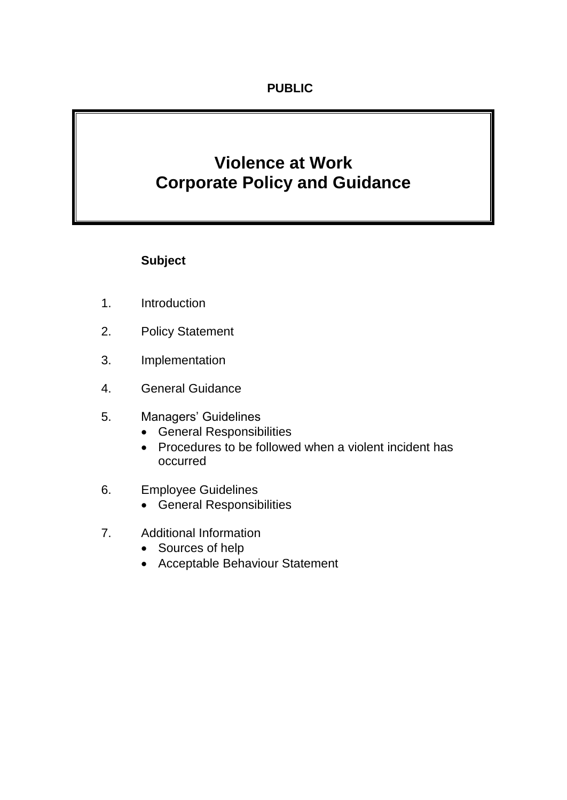# **Violence at Work Corporate Policy and Guidance**

# **Subject**

- 1. Introduction
- 2. Policy Statement
- 3. Implementation
- 4. General Guidance
- 5. Managers' Guidelines
	- General Responsibilities
	- Procedures to be followed when a violent incident has occurred
- 6. Employee Guidelines
	- General Responsibilities
- 7. Additional Information
	- Sources of help
	- Acceptable Behaviour Statement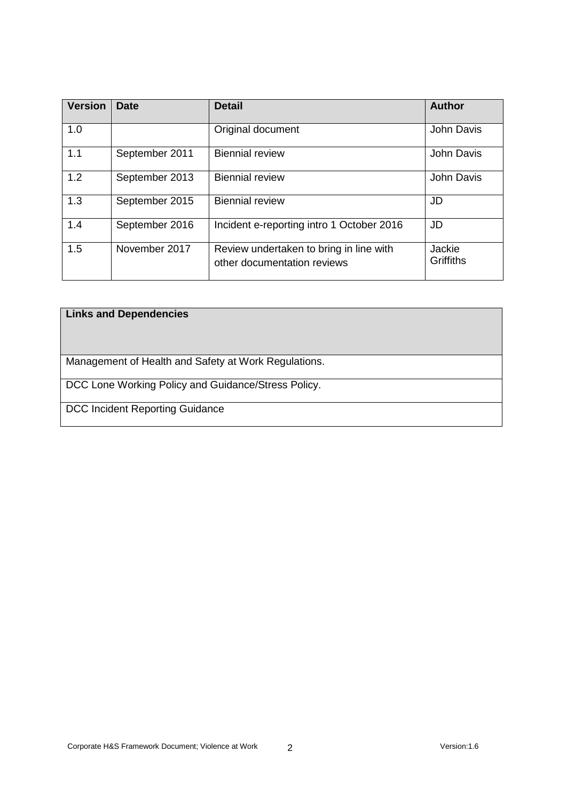| <b>Version</b> | <b>Date</b>    | <b>Detail</b>                                                          | <b>Author</b>              |
|----------------|----------------|------------------------------------------------------------------------|----------------------------|
| 1.0            |                | Original document                                                      | John Davis                 |
| 1.1            | September 2011 | <b>Biennial review</b>                                                 | John Davis                 |
| 1.2            | September 2013 | <b>Biennial review</b>                                                 | John Davis                 |
| 1.3            | September 2015 | <b>Biennial review</b>                                                 | JD                         |
| 1.4            | September 2016 | Incident e-reporting intro 1 October 2016                              | <b>JD</b>                  |
| 1.5            | November 2017  | Review undertaken to bring in line with<br>other documentation reviews | Jackie<br><b>Griffiths</b> |

#### **Links and Dependencies**

Management of Health and Safety at Work Regulations.

DCC Lone Working Policy and Guidance/Stress Policy.

DCC Incident Reporting Guidance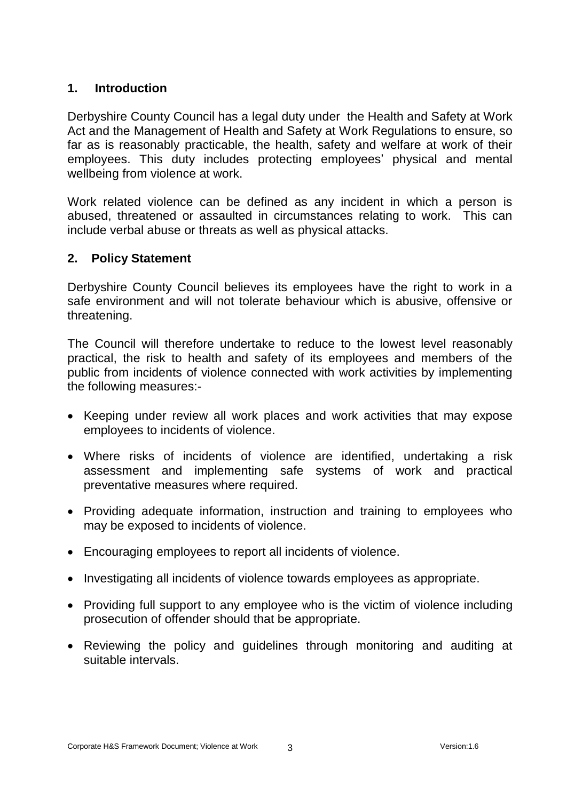#### **1. Introduction**

Derbyshire County Council has a legal duty under the Health and Safety at Work Act and the Management of Health and Safety at Work Regulations to ensure, so far as is reasonably practicable, the health, safety and welfare at work of their employees. This duty includes protecting employees' physical and mental wellbeing from violence at work.

Work related violence can be defined as any incident in which a person is abused, threatened or assaulted in circumstances relating to work. This can include verbal abuse or threats as well as physical attacks.

#### **2. Policy Statement**

Derbyshire County Council believes its employees have the right to work in a safe environment and will not tolerate behaviour which is abusive, offensive or threatening.

The Council will therefore undertake to reduce to the lowest level reasonably practical, the risk to health and safety of its employees and members of the public from incidents of violence connected with work activities by implementing the following measures:-

- Keeping under review all work places and work activities that may expose employees to incidents of violence.
- Where risks of incidents of violence are identified, undertaking a risk assessment and implementing safe systems of work and practical preventative measures where required.
- Providing adequate information, instruction and training to employees who may be exposed to incidents of violence.
- Encouraging employees to report all incidents of violence.
- Investigating all incidents of violence towards employees as appropriate.
- Providing full support to any employee who is the victim of violence including prosecution of offender should that be appropriate.
- Reviewing the policy and guidelines through monitoring and auditing at suitable intervals.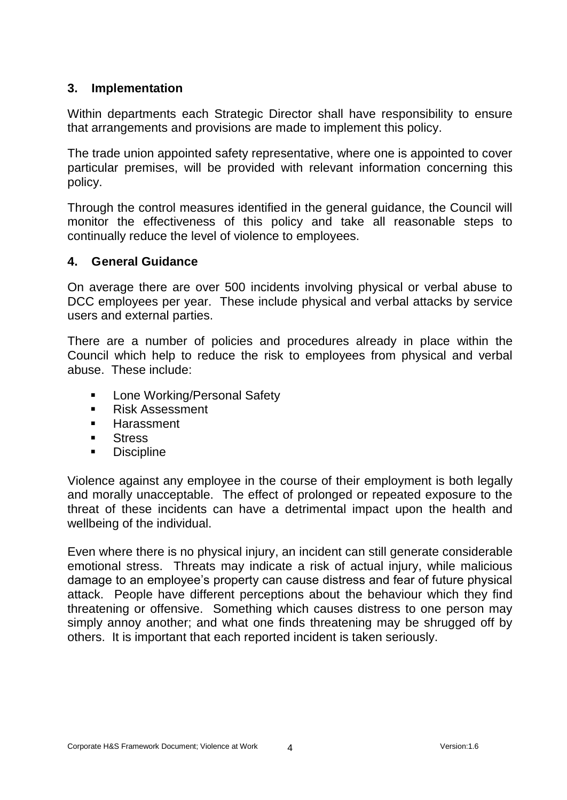#### **3. Implementation**

Within departments each Strategic Director shall have responsibility to ensure that arrangements and provisions are made to implement this policy.

The trade union appointed safety representative, where one is appointed to cover particular premises, will be provided with relevant information concerning this policy.

Through the control measures identified in the general guidance, the Council will monitor the effectiveness of this policy and take all reasonable steps to continually reduce the level of violence to employees.

# **4. General Guidance**

On average there are over 500 incidents involving physical or verbal abuse to DCC employees per year. These include physical and verbal attacks by service users and external parties.

There are a number of policies and procedures already in place within the Council which help to reduce the risk to employees from physical and verbal abuse. These include:

- **EXECOME:** Lone Working/Personal Safety
- **Risk Assessment**
- **Harassment**
- **Stress**
- **•** Discipline

Violence against any employee in the course of their employment is both legally and morally unacceptable. The effect of prolonged or repeated exposure to the threat of these incidents can have a detrimental impact upon the health and wellbeing of the individual.

Even where there is no physical injury, an incident can still generate considerable emotional stress. Threats may indicate a risk of actual injury, while malicious damage to an employee's property can cause distress and fear of future physical attack. People have different perceptions about the behaviour which they find threatening or offensive. Something which causes distress to one person may simply annoy another; and what one finds threatening may be shrugged off by others. It is important that each reported incident is taken seriously.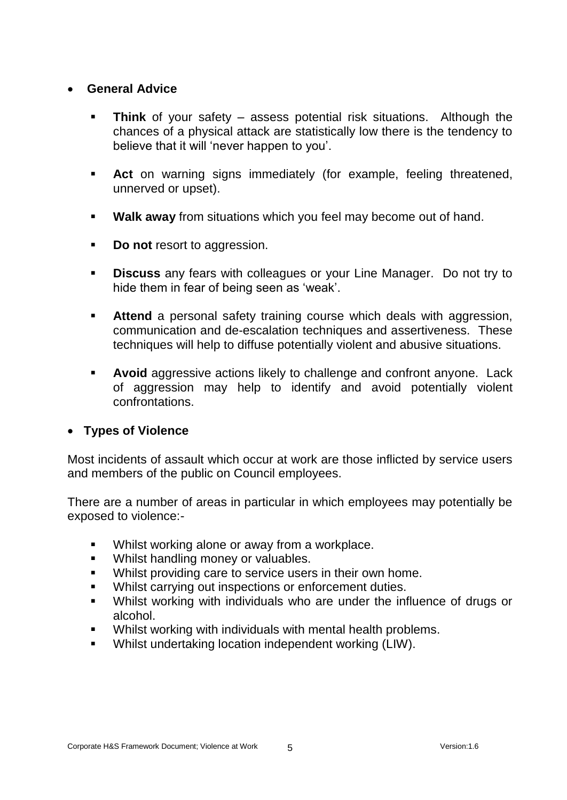#### **General Advice**

- **Think** of your safety assess potential risk situations. Although the chances of a physical attack are statistically low there is the tendency to believe that it will 'never happen to you'.
- **Act** on warning signs immediately (for example, feeling threatened, unnerved or upset).
- **Walk away** from situations which you feel may become out of hand.
- **Do not** resort to aggression.
- **Discuss** any fears with colleagues or your Line Manager. Do not try to hide them in fear of being seen as 'weak'.
- **Attend** a personal safety training course which deals with aggression, communication and de-escalation techniques and assertiveness. These techniques will help to diffuse potentially violent and abusive situations.
- **Avoid** aggressive actions likely to challenge and confront anyone. Lack of aggression may help to identify and avoid potentially violent confrontations.

#### **Types of Violence**

Most incidents of assault which occur at work are those inflicted by service users and members of the public on Council employees.

There are a number of areas in particular in which employees may potentially be exposed to violence:-

- Whilst working alone or away from a workplace.
- **Whilst handling money or valuables.**
- Whilst providing care to service users in their own home.
- **Whilst carrying out inspections or enforcement duties.**
- Whilst working with individuals who are under the influence of drugs or alcohol.
- Whilst working with individuals with mental health problems.
- Whilst undertaking location independent working (LIW).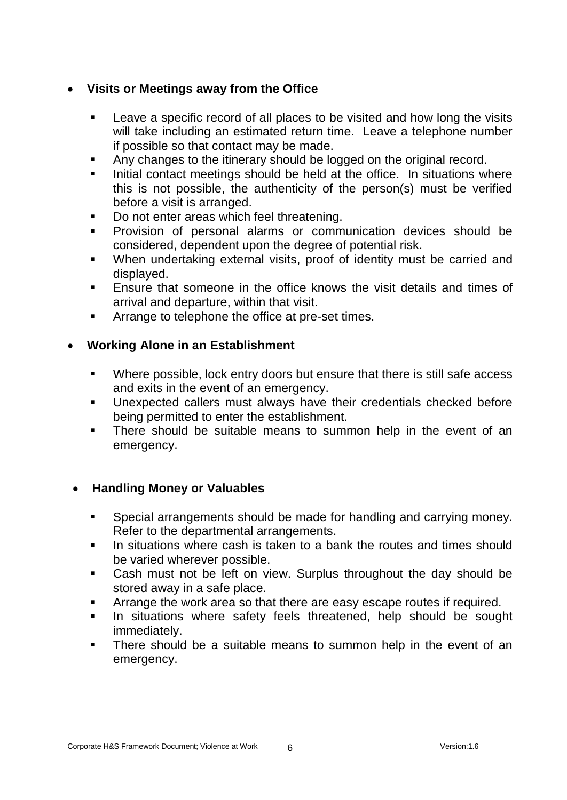### **Visits or Meetings away from the Office**

- **EXECT** Leave a specific record of all places to be visited and how long the visits will take including an estimated return time. Leave a telephone number if possible so that contact may be made.
- Any changes to the itinerary should be logged on the original record.
- Initial contact meetings should be held at the office. In situations where this is not possible, the authenticity of the person(s) must be verified before a visit is arranged.
- Do not enter areas which feel threatening.
- Provision of personal alarms or communication devices should be considered, dependent upon the degree of potential risk.
- When undertaking external visits, proof of identity must be carried and displayed.
- **Ensure that someone in the office knows the visit details and times of** arrival and departure, within that visit.
- **EXECUTE:** Arrange to telephone the office at pre-set times.

# **Working Alone in an Establishment**

- Where possible, lock entry doors but ensure that there is still safe access and exits in the event of an emergency.
- Unexpected callers must always have their credentials checked before being permitted to enter the establishment.
- **There should be suitable means to summon help in the event of an** emergency.

# **Handling Money or Valuables**

- Special arrangements should be made for handling and carrying money. Refer to the departmental arrangements.
- **IF** In situations where cash is taken to a bank the routes and times should be varied wherever possible.
- Cash must not be left on view. Surplus throughout the day should be stored away in a safe place.
- Arrange the work area so that there are easy escape routes if required.
- **In situations where safety feels threatened, help should be sought** immediately.
- There should be a suitable means to summon help in the event of an emergency.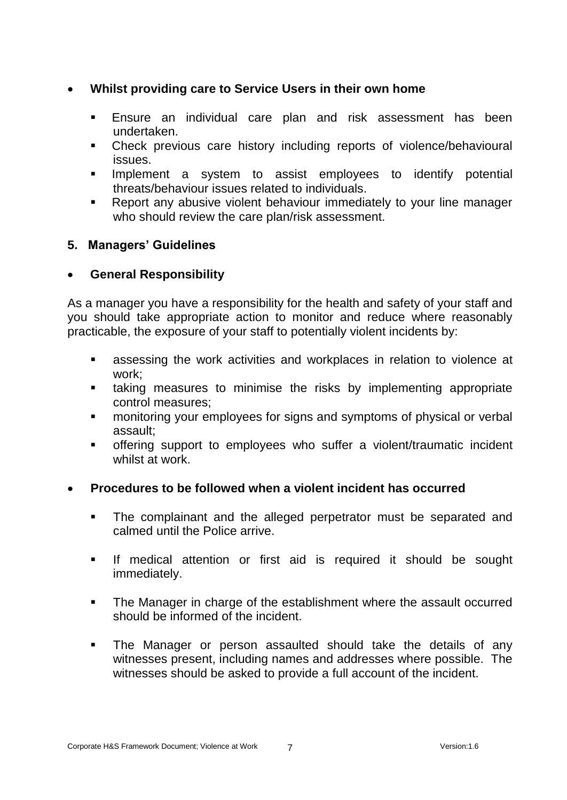### **Whilst providing care to Service Users in their own home**

- Ensure an individual care plan and risk assessment has been undertaken.
- Check previous care history including reports of violence/behavioural issues.
- **Implement a system to assist employees to identify potential** threats/behaviour issues related to individuals.
- Report any abusive violent behaviour immediately to your line manager who should review the care plan/risk assessment.

# **5. Managers' Guidelines**

# **General Responsibility**

As a manager you have a responsibility for the health and safety of your staff and you should take appropriate action to monitor and reduce where reasonably practicable, the exposure of your staff to potentially violent incidents by:

- assessing the work activities and workplaces in relation to violence at work;
- taking measures to minimise the risks by implementing appropriate control measures;
- **EXED monitoring your employees for signs and symptoms of physical or verbal** assault;
- offering support to employees who suffer a violent/traumatic incident whilst at work.

# **Procedures to be followed when a violent incident has occurred**

- **The complainant and the alleged perpetrator must be separated and** calmed until the Police arrive.
- **If medical attention or first aid is required it should be sought** immediately.
- The Manager in charge of the establishment where the assault occurred should be informed of the incident.
- The Manager or person assaulted should take the details of any witnesses present, including names and addresses where possible. The witnesses should be asked to provide a full account of the incident.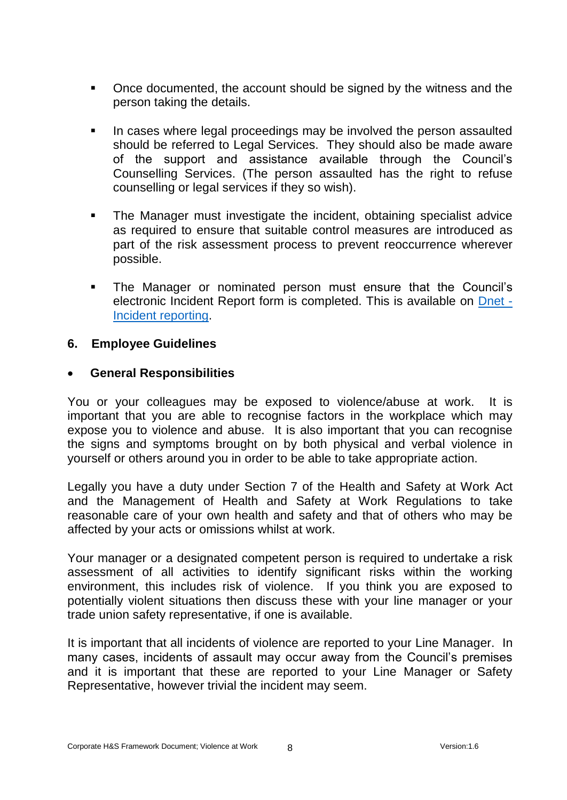- Once documented, the account should be signed by the witness and the person taking the details.
- In cases where legal proceedings may be involved the person assaulted should be referred to Legal Services. They should also be made aware of the support and assistance available through the Council's Counselling Services. (The person assaulted has the right to refuse counselling or legal services if they so wish).
- The Manager must investigate the incident, obtaining specialist advice as required to ensure that suitable control measures are introduced as part of the risk assessment process to prevent reoccurrence wherever possible.
- The Manager or nominated person must ensure that the Council's electronic Incident Report form is completed. This is available on [Dnet -](http://dnet/working_for_us/your_wellbeing/incident_reporting/default.asp) [Incident reporting.](http://dnet/working_for_us/your_wellbeing/incident_reporting/default.asp)

#### **6. Employee Guidelines**

#### **General Responsibilities**

You or your colleagues may be exposed to violence/abuse at work. It is important that you are able to recognise factors in the workplace which may expose you to violence and abuse. It is also important that you can recognise the signs and symptoms brought on by both physical and verbal violence in yourself or others around you in order to be able to take appropriate action.

Legally you have a duty under Section 7 of the Health and Safety at Work Act and the Management of Health and Safety at Work Regulations to take reasonable care of your own health and safety and that of others who may be affected by your acts or omissions whilst at work.

Your manager or a designated competent person is required to undertake a risk assessment of all activities to identify significant risks within the working environment, this includes risk of violence. If you think you are exposed to potentially violent situations then discuss these with your line manager or your trade union safety representative, if one is available.

It is important that all incidents of violence are reported to your Line Manager. In many cases, incidents of assault may occur away from the Council's premises and it is important that these are reported to your Line Manager or Safety Representative, however trivial the incident may seem.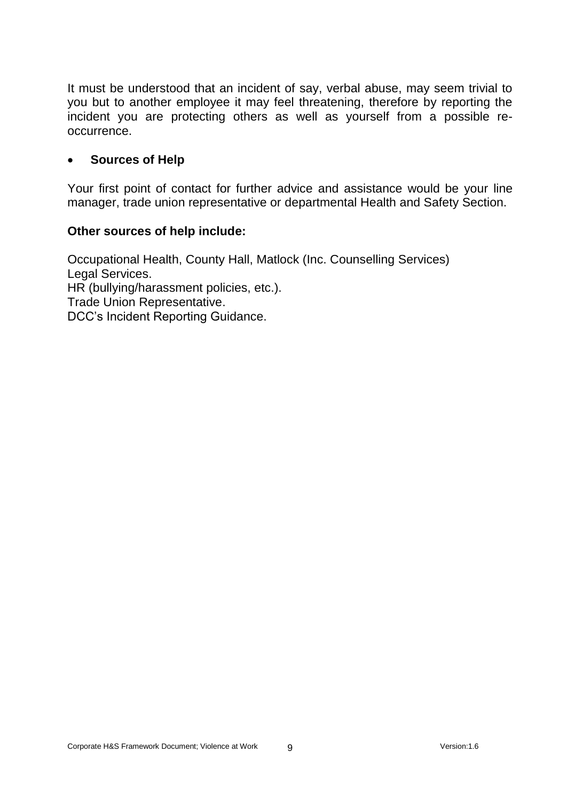It must be understood that an incident of say, verbal abuse, may seem trivial to you but to another employee it may feel threatening, therefore by reporting the incident you are protecting others as well as yourself from a possible reoccurrence.

#### **Sources of Help**

Your first point of contact for further advice and assistance would be your line manager, trade union representative or departmental Health and Safety Section.

#### **Other sources of help include:**

Occupational Health, County Hall, Matlock (Inc. Counselling Services) Legal Services. HR (bullying/harassment policies, etc.). Trade Union Representative. DCC's Incident Reporting Guidance.